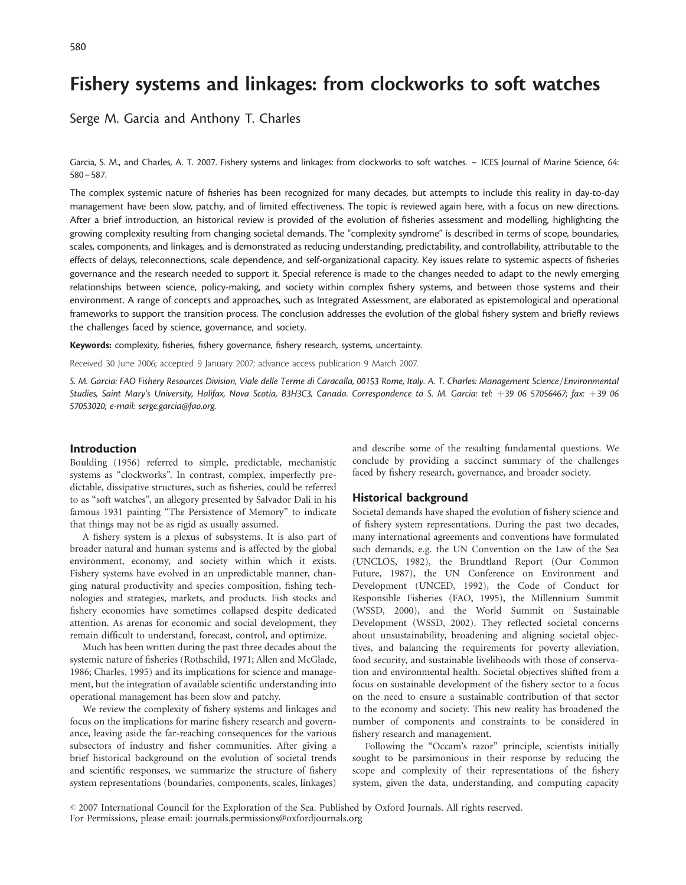# Fishery systems and linkages: from clockworks to soft watches

Serge M. Garcia and Anthony T. Charles

Garcia, S. M., and Charles, A. T. 2007. Fishery systems and linkages: from clockworks to soft watches. – ICES Journal of Marine Science, 64: 580–587.

The complex systemic nature of fisheries has been recognized for many decades, but attempts to include this reality in day-to-day management have been slow, patchy, and of limited effectiveness. The topic is reviewed again here, with a focus on new directions. After a brief introduction, an historical review is provided of the evolution of fisheries assessment and modelling, highlighting the growing complexity resulting from changing societal demands. The "complexity syndrome" is described in terms of scope, boundaries, scales, components, and linkages, and is demonstrated as reducing understanding, predictability, and controllability, attributable to the effects of delays, teleconnections, scale dependence, and self-organizational capacity. Key issues relate to systemic aspects of fisheries governance and the research needed to support it. Special reference is made to the changes needed to adapt to the newly emerging relationships between science, policy-making, and society within complex fishery systems, and between those systems and their environment. A range of concepts and approaches, such as Integrated Assessment, are elaborated as epistemological and operational frameworks to support the transition process. The conclusion addresses the evolution of the global fishery system and briefly reviews the challenges faced by science, governance, and society.

Keywords: complexity, fisheries, fishery governance, fishery research, systems, uncertainty.

Received 30 June 2006; accepted 9 January 2007; advance access publication 9 March 2007.

S. M. Garcia: FAO Fishery Resources Division, Viale delle Terme di Caracalla, 00153 Rome, Italy. A. T. Charles: Management Science/Environmental Studies, Saint Mary's University, Halifax, Nova Scotia, B3H3C3, Canada. Correspondence to S. M. Garcia: tel: +39 06 57056467; fax: +39 06 57053020; e-mail: serge.garcia@fao.org.

#### Introduction

Boulding (1956) referred to simple, predictable, mechanistic systems as "clockworks". In contrast, complex, imperfectly predictable, dissipative structures, such as fisheries, could be referred to as "soft watches", an allegory presented by Salvador Dali in his famous 1931 painting "The Persistence of Memory" to indicate that things may not be as rigid as usually assumed.

A fishery system is a plexus of subsystems. It is also part of broader natural and human systems and is affected by the global environment, economy, and society within which it exists. Fishery systems have evolved in an unpredictable manner, changing natural productivity and species composition, fishing technologies and strategies, markets, and products. Fish stocks and fishery economies have sometimes collapsed despite dedicated attention. As arenas for economic and social development, they remain difficult to understand, forecast, control, and optimize.

Much has been written during the past three decades about the systemic nature of fisheries (Rothschild, 1971; Allen and McGlade, 1986; Charles, 1995) and its implications for science and management, but the integration of available scientific understanding into operational management has been slow and patchy.

We review the complexity of fishery systems and linkages and focus on the implications for marine fishery research and governance, leaving aside the far-reaching consequences for the various subsectors of industry and fisher communities. After giving a brief historical background on the evolution of societal trends and scientific responses, we summarize the structure of fishery system representations (boundaries, components, scales, linkages) and describe some of the resulting fundamental questions. We conclude by providing a succinct summary of the challenges faced by fishery research, governance, and broader society.

#### Historical background

Societal demands have shaped the evolution of fishery science and of fishery system representations. During the past two decades, many international agreements and conventions have formulated such demands, e.g. the UN Convention on the Law of the Sea (UNCLOS, 1982), the Brundtland Report (Our Common Future, 1987), the UN Conference on Environment and Development (UNCED, 1992), the Code of Conduct for Responsible Fisheries (FAO, 1995), the Millennium Summit (WSSD, 2000), and the World Summit on Sustainable Development (WSSD, 2002). They reflected societal concerns about unsustainability, broadening and aligning societal objectives, and balancing the requirements for poverty alleviation, food security, and sustainable livelihoods with those of conservation and environmental health. Societal objectives shifted from a focus on sustainable development of the fishery sector to a focus on the need to ensure a sustainable contribution of that sector to the economy and society. This new reality has broadened the number of components and constraints to be considered in fishery research and management.

Following the "Occam's razor" principle, scientists initially sought to be parsimonious in their response by reducing the scope and complexity of their representations of the fishery system, given the data, understanding, and computing capacity

 $\degree$  2007 International Council for the Exploration of the Sea. Published by Oxford Journals. All rights reserved. For Permissions, please email: journals.permissions@oxfordjournals.org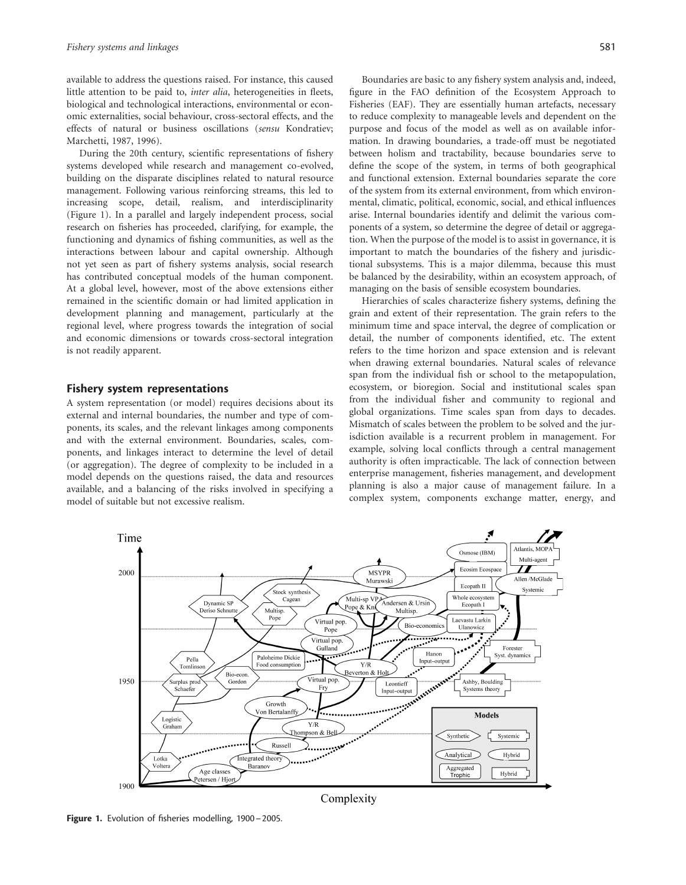available to address the questions raised. For instance, this caused little attention to be paid to, inter alia, heterogeneities in fleets, biological and technological interactions, environmental or economic externalities, social behaviour, cross-sectoral effects, and the effects of natural or business oscillations (sensu Kondratiev; Marchetti, 1987, 1996).

During the 20th century, scientific representations of fishery systems developed while research and management co-evolved, building on the disparate disciplines related to natural resource management. Following various reinforcing streams, this led to increasing scope, detail, realism, and interdisciplinarity (Figure 1). In a parallel and largely independent process, social research on fisheries has proceeded, clarifying, for example, the functioning and dynamics of fishing communities, as well as the interactions between labour and capital ownership. Although not yet seen as part of fishery systems analysis, social research has contributed conceptual models of the human component. At a global level, however, most of the above extensions either remained in the scientific domain or had limited application in development planning and management, particularly at the regional level, where progress towards the integration of social and economic dimensions or towards cross-sectoral integration is not readily apparent.

#### Fishery system representations

A system representation (or model) requires decisions about its external and internal boundaries, the number and type of components, its scales, and the relevant linkages among components and with the external environment. Boundaries, scales, components, and linkages interact to determine the level of detail (or aggregation). The degree of complexity to be included in a model depends on the questions raised, the data and resources available, and a balancing of the risks involved in specifying a model of suitable but not excessive realism.

Boundaries are basic to any fishery system analysis and, indeed, figure in the FAO definition of the Ecosystem Approach to Fisheries (EAF). They are essentially human artefacts, necessary to reduce complexity to manageable levels and dependent on the purpose and focus of the model as well as on available information. In drawing boundaries, a trade-off must be negotiated between holism and tractability, because boundaries serve to define the scope of the system, in terms of both geographical and functional extension. External boundaries separate the core of the system from its external environment, from which environmental, climatic, political, economic, social, and ethical influences arise. Internal boundaries identify and delimit the various components of a system, so determine the degree of detail or aggregation. When the purpose of the model is to assist in governance, it is important to match the boundaries of the fishery and jurisdictional subsystems. This is a major dilemma, because this must be balanced by the desirability, within an ecosystem approach, of managing on the basis of sensible ecosystem boundaries.

Hierarchies of scales characterize fishery systems, defining the grain and extent of their representation. The grain refers to the minimum time and space interval, the degree of complication or detail, the number of components identified, etc. The extent refers to the time horizon and space extension and is relevant when drawing external boundaries. Natural scales of relevance span from the individual fish or school to the metapopulation, ecosystem, or bioregion. Social and institutional scales span from the individual fisher and community to regional and global organizations. Time scales span from days to decades. Mismatch of scales between the problem to be solved and the jurisdiction available is a recurrent problem in management. For example, solving local conflicts through a central management authority is often impracticable. The lack of connection between enterprise management, fisheries management, and development planning is also a major cause of management failure. In a complex system, components exchange matter, energy, and



Complexity

Figure 1. Evolution of fisheries modelling, 1900-2005.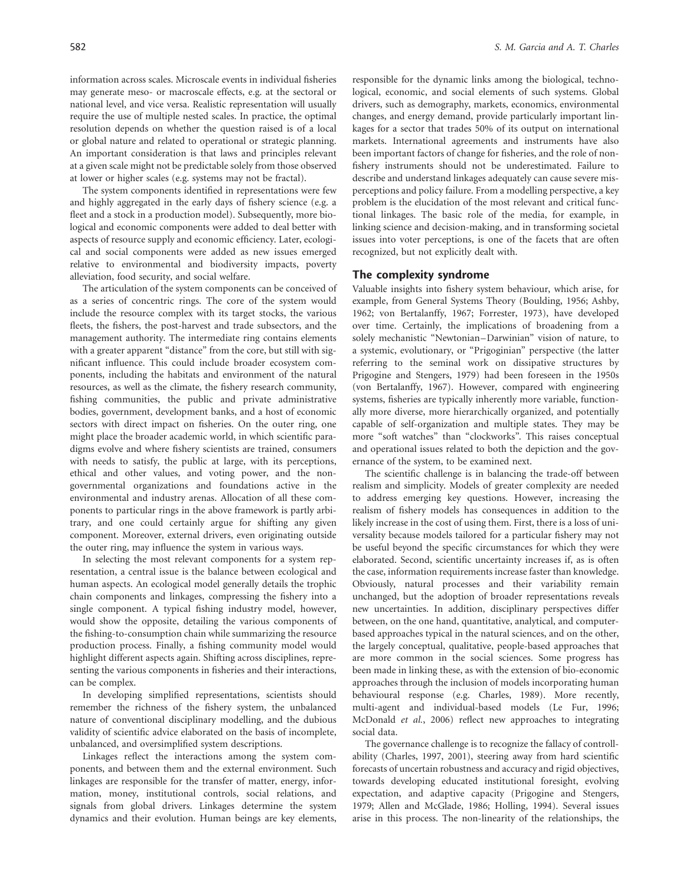information across scales. Microscale events in individual fisheries may generate meso- or macroscale effects, e.g. at the sectoral or national level, and vice versa. Realistic representation will usually require the use of multiple nested scales. In practice, the optimal resolution depends on whether the question raised is of a local or global nature and related to operational or strategic planning. An important consideration is that laws and principles relevant at a given scale might not be predictable solely from those observed at lower or higher scales (e.g. systems may not be fractal).

The system components identified in representations were few and highly aggregated in the early days of fishery science (e.g. a fleet and a stock in a production model). Subsequently, more biological and economic components were added to deal better with aspects of resource supply and economic efficiency. Later, ecological and social components were added as new issues emerged relative to environmental and biodiversity impacts, poverty alleviation, food security, and social welfare.

The articulation of the system components can be conceived of as a series of concentric rings. The core of the system would include the resource complex with its target stocks, the various fleets, the fishers, the post-harvest and trade subsectors, and the management authority. The intermediate ring contains elements with a greater apparent "distance" from the core, but still with significant influence. This could include broader ecosystem components, including the habitats and environment of the natural resources, as well as the climate, the fishery research community, fishing communities, the public and private administrative bodies, government, development banks, and a host of economic sectors with direct impact on fisheries. On the outer ring, one might place the broader academic world, in which scientific paradigms evolve and where fishery scientists are trained, consumers with needs to satisfy, the public at large, with its perceptions, ethical and other values, and voting power, and the nongovernmental organizations and foundations active in the environmental and industry arenas. Allocation of all these components to particular rings in the above framework is partly arbitrary, and one could certainly argue for shifting any given component. Moreover, external drivers, even originating outside the outer ring, may influence the system in various ways.

In selecting the most relevant components for a system representation, a central issue is the balance between ecological and human aspects. An ecological model generally details the trophic chain components and linkages, compressing the fishery into a single component. A typical fishing industry model, however, would show the opposite, detailing the various components of the fishing-to-consumption chain while summarizing the resource production process. Finally, a fishing community model would highlight different aspects again. Shifting across disciplines, representing the various components in fisheries and their interactions, can be complex.

In developing simplified representations, scientists should remember the richness of the fishery system, the unbalanced nature of conventional disciplinary modelling, and the dubious validity of scientific advice elaborated on the basis of incomplete, unbalanced, and oversimplified system descriptions.

Linkages reflect the interactions among the system components, and between them and the external environment. Such linkages are responsible for the transfer of matter, energy, information, money, institutional controls, social relations, and signals from global drivers. Linkages determine the system dynamics and their evolution. Human beings are key elements, responsible for the dynamic links among the biological, technological, economic, and social elements of such systems. Global drivers, such as demography, markets, economics, environmental changes, and energy demand, provide particularly important linkages for a sector that trades 50% of its output on international markets. International agreements and instruments have also been important factors of change for fisheries, and the role of nonfishery instruments should not be underestimated. Failure to describe and understand linkages adequately can cause severe misperceptions and policy failure. From a modelling perspective, a key problem is the elucidation of the most relevant and critical functional linkages. The basic role of the media, for example, in linking science and decision-making, and in transforming societal issues into voter perceptions, is one of the facets that are often recognized, but not explicitly dealt with.

## The complexity syndrome

Valuable insights into fishery system behaviour, which arise, for example, from General Systems Theory (Boulding, 1956; Ashby, 1962; von Bertalanffy, 1967; Forrester, 1973), have developed over time. Certainly, the implications of broadening from a solely mechanistic "Newtonian–Darwinian" vision of nature, to a systemic, evolutionary, or "Prigoginian" perspective (the latter referring to the seminal work on dissipative structures by Prigogine and Stengers, 1979) had been foreseen in the 1950s (von Bertalanffy, 1967). However, compared with engineering systems, fisheries are typically inherently more variable, functionally more diverse, more hierarchically organized, and potentially capable of self-organization and multiple states. They may be more "soft watches" than "clockworks". This raises conceptual and operational issues related to both the depiction and the governance of the system, to be examined next.

The scientific challenge is in balancing the trade-off between realism and simplicity. Models of greater complexity are needed to address emerging key questions. However, increasing the realism of fishery models has consequences in addition to the likely increase in the cost of using them. First, there is a loss of universality because models tailored for a particular fishery may not be useful beyond the specific circumstances for which they were elaborated. Second, scientific uncertainty increases if, as is often the case, information requirements increase faster than knowledge. Obviously, natural processes and their variability remain unchanged, but the adoption of broader representations reveals new uncertainties. In addition, disciplinary perspectives differ between, on the one hand, quantitative, analytical, and computerbased approaches typical in the natural sciences, and on the other, the largely conceptual, qualitative, people-based approaches that are more common in the social sciences. Some progress has been made in linking these, as with the extension of bio-economic approaches through the inclusion of models incorporating human behavioural response (e.g. Charles, 1989). More recently, multi-agent and individual-based models (Le Fur, 1996; McDonald et al., 2006) reflect new approaches to integrating social data.

The governance challenge is to recognize the fallacy of controllability (Charles, 1997, 2001), steering away from hard scientific forecasts of uncertain robustness and accuracy and rigid objectives, towards developing educated institutional foresight, evolving expectation, and adaptive capacity (Prigogine and Stengers, 1979; Allen and McGlade, 1986; Holling, 1994). Several issues arise in this process. The non-linearity of the relationships, the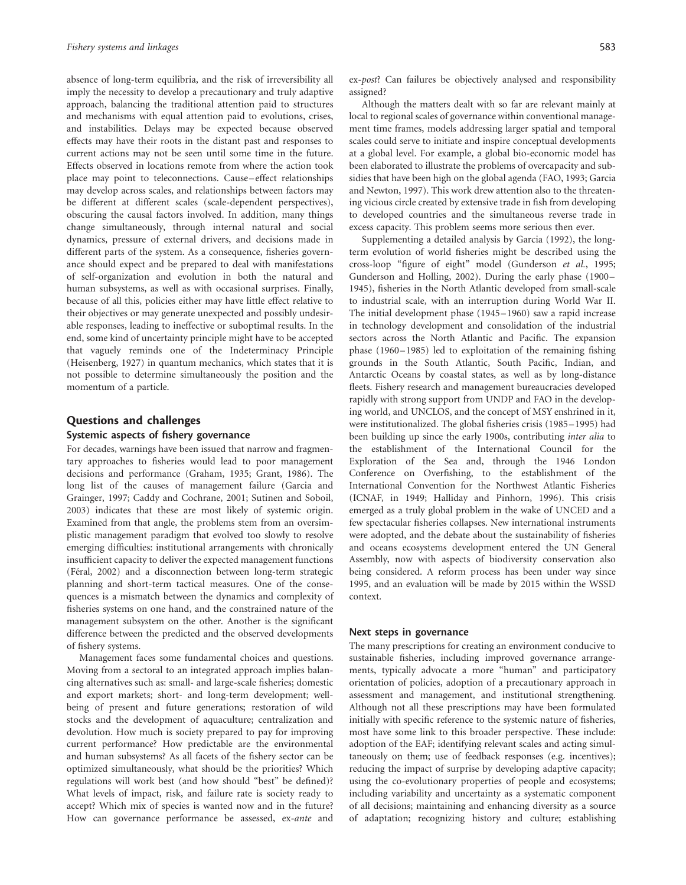absence of long-term equilibria, and the risk of irreversibility all imply the necessity to develop a precautionary and truly adaptive approach, balancing the traditional attention paid to structures and mechanisms with equal attention paid to evolutions, crises, and instabilities. Delays may be expected because observed effects may have their roots in the distant past and responses to current actions may not be seen until some time in the future. Effects observed in locations remote from where the action took place may point to teleconnections. Cause–effect relationships may develop across scales, and relationships between factors may be different at different scales (scale-dependent perspectives), obscuring the causal factors involved. In addition, many things change simultaneously, through internal natural and social dynamics, pressure of external drivers, and decisions made in different parts of the system. As a consequence, fisheries governance should expect and be prepared to deal with manifestations of self-organization and evolution in both the natural and human subsystems, as well as with occasional surprises. Finally, because of all this, policies either may have little effect relative to their objectives or may generate unexpected and possibly undesirable responses, leading to ineffective or suboptimal results. In the end, some kind of uncertainty principle might have to be accepted that vaguely reminds one of the Indeterminacy Principle (Heisenberg, 1927) in quantum mechanics, which states that it is not possible to determine simultaneously the position and the momentum of a particle.

# Questions and challenges Systemic aspects of fishery governance

For decades, warnings have been issued that narrow and fragmentary approaches to fisheries would lead to poor management decisions and performance (Graham, 1935; Grant, 1986). The long list of the causes of management failure (Garcia and Grainger, 1997; Caddy and Cochrane, 2001; Sutinen and Soboil, 2003) indicates that these are most likely of systemic origin. Examined from that angle, the problems stem from an oversimplistic management paradigm that evolved too slowly to resolve emerging difficulties: institutional arrangements with chronically insufficient capacity to deliver the expected management functions (Féral, 2002) and a disconnection between long-term strategic planning and short-term tactical measures. One of the consequences is a mismatch between the dynamics and complexity of fisheries systems on one hand, and the constrained nature of the management subsystem on the other. Another is the significant difference between the predicted and the observed developments of fishery systems.

Management faces some fundamental choices and questions. Moving from a sectoral to an integrated approach implies balancing alternatives such as: small- and large-scale fisheries; domestic and export markets; short- and long-term development; wellbeing of present and future generations; restoration of wild stocks and the development of aquaculture; centralization and devolution. How much is society prepared to pay for improving current performance? How predictable are the environmental and human subsystems? As all facets of the fishery sector can be optimized simultaneously, what should be the priorities? Which regulations will work best (and how should "best" be defined)? What levels of impact, risk, and failure rate is society ready to accept? Which mix of species is wanted now and in the future? How can governance performance be assessed, ex-ante and

ex-post? Can failures be objectively analysed and responsibility assigned?

Although the matters dealt with so far are relevant mainly at local to regional scales of governance within conventional management time frames, models addressing larger spatial and temporal scales could serve to initiate and inspire conceptual developments at a global level. For example, a global bio-economic model has been elaborated to illustrate the problems of overcapacity and subsidies that have been high on the global agenda (FAO, 1993; Garcia and Newton, 1997). This work drew attention also to the threatening vicious circle created by extensive trade in fish from developing to developed countries and the simultaneous reverse trade in excess capacity. This problem seems more serious then ever.

Supplementing a detailed analysis by Garcia (1992), the longterm evolution of world fisheries might be described using the cross-loop "figure of eight" model (Gunderson et al., 1995; Gunderson and Holling, 2002). During the early phase (1900– 1945), fisheries in the North Atlantic developed from small-scale to industrial scale, with an interruption during World War II. The initial development phase (1945–1960) saw a rapid increase in technology development and consolidation of the industrial sectors across the North Atlantic and Pacific. The expansion phase (1960–1985) led to exploitation of the remaining fishing grounds in the South Atlantic, South Pacific, Indian, and Antarctic Oceans by coastal states, as well as by long-distance fleets. Fishery research and management bureaucracies developed rapidly with strong support from UNDP and FAO in the developing world, and UNCLOS, and the concept of MSY enshrined in it, were institutionalized. The global fisheries crisis (1985–1995) had been building up since the early 1900s, contributing inter alia to the establishment of the International Council for the Exploration of the Sea and, through the 1946 London Conference on Overfishing, to the establishment of the International Convention for the Northwest Atlantic Fisheries (ICNAF, in 1949; Halliday and Pinhorn, 1996). This crisis emerged as a truly global problem in the wake of UNCED and a few spectacular fisheries collapses. New international instruments were adopted, and the debate about the sustainability of fisheries and oceans ecosystems development entered the UN General Assembly, now with aspects of biodiversity conservation also being considered. A reform process has been under way since 1995, and an evaluation will be made by 2015 within the WSSD context.

#### Next steps in governance

The many prescriptions for creating an environment conducive to sustainable fisheries, including improved governance arrangements, typically advocate a more "human" and participatory orientation of policies, adoption of a precautionary approach in assessment and management, and institutional strengthening. Although not all these prescriptions may have been formulated initially with specific reference to the systemic nature of fisheries, most have some link to this broader perspective. These include: adoption of the EAF; identifying relevant scales and acting simultaneously on them; use of feedback responses (e.g. incentives); reducing the impact of surprise by developing adaptive capacity; using the co-evolutionary properties of people and ecosystems; including variability and uncertainty as a systematic component of all decisions; maintaining and enhancing diversity as a source of adaptation; recognizing history and culture; establishing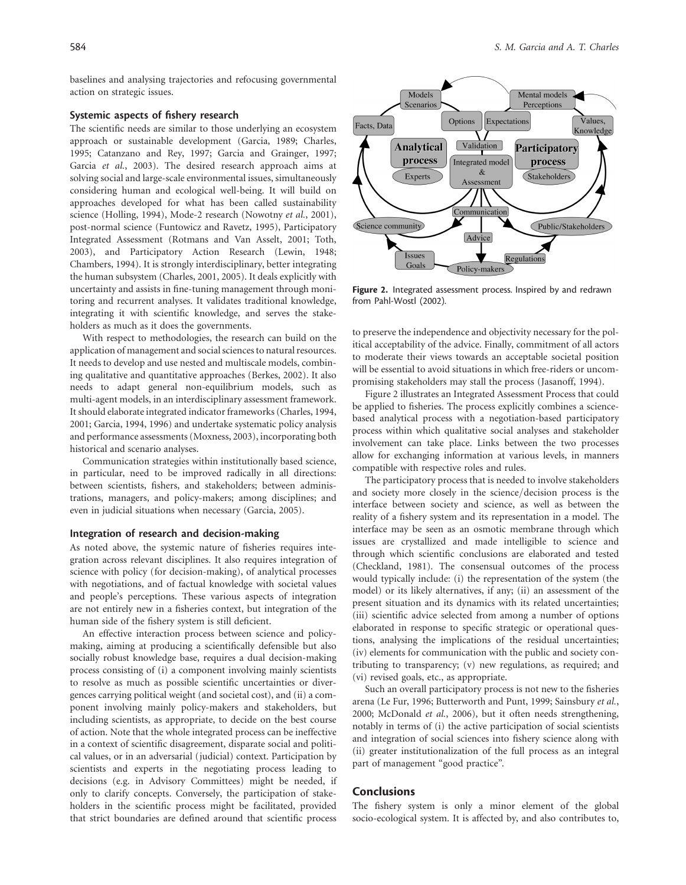baselines and analysing trajectories and refocusing governmental action on strategic issues.

#### Systemic aspects of fishery research

The scientific needs are similar to those underlying an ecosystem approach or sustainable development (Garcia, 1989; Charles, 1995; Catanzano and Rey, 1997; Garcia and Grainger, 1997; Garcia et al., 2003). The desired research approach aims at solving social and large-scale environmental issues, simultaneously considering human and ecological well-being. It will build on approaches developed for what has been called sustainability science (Holling, 1994), Mode-2 research (Nowotny et al., 2001), post-normal science (Funtowicz and Ravetz, 1995), Participatory Integrated Assessment (Rotmans and Van Asselt, 2001; Toth, 2003), and Participatory Action Research (Lewin, 1948; Chambers, 1994). It is strongly interdisciplinary, better integrating the human subsystem (Charles, 2001, 2005). It deals explicitly with uncertainty and assists in fine-tuning management through monitoring and recurrent analyses. It validates traditional knowledge, integrating it with scientific knowledge, and serves the stakeholders as much as it does the governments.

With respect to methodologies, the research can build on the application of management and social sciences to natural resources. It needs to develop and use nested and multiscale models, combining qualitative and quantitative approaches (Berkes, 2002). It also needs to adapt general non-equilibrium models, such as multi-agent models, in an interdisciplinary assessment framework. It should elaborate integrated indicator frameworks (Charles, 1994, 2001; Garcia, 1994, 1996) and undertake systematic policy analysis and performance assessments (Moxness, 2003), incorporating both historical and scenario analyses.

Communication strategies within institutionally based science, in particular, need to be improved radically in all directions: between scientists, fishers, and stakeholders; between administrations, managers, and policy-makers; among disciplines; and even in judicial situations when necessary (Garcia, 2005).

#### Integration of research and decision-making

As noted above, the systemic nature of fisheries requires integration across relevant disciplines. It also requires integration of science with policy (for decision-making), of analytical processes with negotiations, and of factual knowledge with societal values and people's perceptions. These various aspects of integration are not entirely new in a fisheries context, but integration of the human side of the fishery system is still deficient.

An effective interaction process between science and policymaking, aiming at producing a scientifically defensible but also socially robust knowledge base, requires a dual decision-making process consisting of (i) a component involving mainly scientists to resolve as much as possible scientific uncertainties or divergences carrying political weight (and societal cost), and (ii) a component involving mainly policy-makers and stakeholders, but including scientists, as appropriate, to decide on the best course of action. Note that the whole integrated process can be ineffective in a context of scientific disagreement, disparate social and political values, or in an adversarial (judicial) context. Participation by scientists and experts in the negotiating process leading to decisions (e.g. in Advisory Committees) might be needed, if only to clarify concepts. Conversely, the participation of stakeholders in the scientific process might be facilitated, provided that strict boundaries are defined around that scientific process



Figure 2. Integrated assessment process. Inspired by and redrawn from Pahl-Wostl (2002).

to preserve the independence and objectivity necessary for the political acceptability of the advice. Finally, commitment of all actors to moderate their views towards an acceptable societal position will be essential to avoid situations in which free-riders or uncompromising stakeholders may stall the process (Jasanoff, 1994).

Figure 2 illustrates an Integrated Assessment Process that could be applied to fisheries. The process explicitly combines a sciencebased analytical process with a negotiation-based participatory process within which qualitative social analyses and stakeholder involvement can take place. Links between the two processes allow for exchanging information at various levels, in manners compatible with respective roles and rules.

The participatory process that is needed to involve stakeholders and society more closely in the science/decision process is the interface between society and science, as well as between the reality of a fishery system and its representation in a model. The interface may be seen as an osmotic membrane through which issues are crystallized and made intelligible to science and through which scientific conclusions are elaborated and tested (Checkland, 1981). The consensual outcomes of the process would typically include: (i) the representation of the system (the model) or its likely alternatives, if any; (ii) an assessment of the present situation and its dynamics with its related uncertainties; (iii) scientific advice selected from among a number of options elaborated in response to specific strategic or operational questions, analysing the implications of the residual uncertainties; (iv) elements for communication with the public and society contributing to transparency; (v) new regulations, as required; and (vi) revised goals, etc., as appropriate.

Such an overall participatory process is not new to the fisheries arena (Le Fur, 1996; Butterworth and Punt, 1999; Sainsbury et al., 2000; McDonald et al., 2006), but it often needs strengthening, notably in terms of (i) the active participation of social scientists and integration of social sciences into fishery science along with (ii) greater institutionalization of the full process as an integral part of management "good practice".

## Conclusions

The fishery system is only a minor element of the global socio-ecological system. It is affected by, and also contributes to,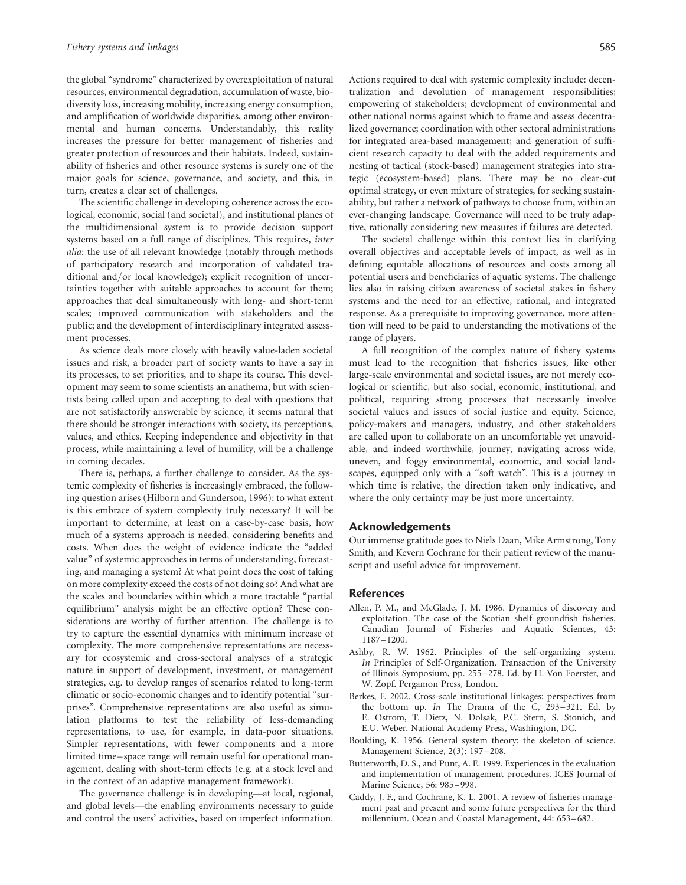the global "syndrome" characterized by overexploitation of natural resources, environmental degradation, accumulation of waste, biodiversity loss, increasing mobility, increasing energy consumption, and amplification of worldwide disparities, among other environmental and human concerns. Understandably, this reality increases the pressure for better management of fisheries and greater protection of resources and their habitats. Indeed, sustainability of fisheries and other resource systems is surely one of the major goals for science, governance, and society, and this, in turn, creates a clear set of challenges.

The scientific challenge in developing coherence across the ecological, economic, social (and societal), and institutional planes of the multidimensional system is to provide decision support systems based on a full range of disciplines. This requires, inter alia: the use of all relevant knowledge (notably through methods of participatory research and incorporation of validated traditional and/or local knowledge); explicit recognition of uncertainties together with suitable approaches to account for them; approaches that deal simultaneously with long- and short-term scales; improved communication with stakeholders and the public; and the development of interdisciplinary integrated assessment processes.

As science deals more closely with heavily value-laden societal issues and risk, a broader part of society wants to have a say in its processes, to set priorities, and to shape its course. This development may seem to some scientists an anathema, but with scientists being called upon and accepting to deal with questions that are not satisfactorily answerable by science, it seems natural that there should be stronger interactions with society, its perceptions, values, and ethics. Keeping independence and objectivity in that process, while maintaining a level of humility, will be a challenge in coming decades.

There is, perhaps, a further challenge to consider. As the systemic complexity of fisheries is increasingly embraced, the following question arises (Hilborn and Gunderson, 1996): to what extent is this embrace of system complexity truly necessary? It will be important to determine, at least on a case-by-case basis, how much of a systems approach is needed, considering benefits and costs. When does the weight of evidence indicate the "added value" of systemic approaches in terms of understanding, forecasting, and managing a system? At what point does the cost of taking on more complexity exceed the costs of not doing so? And what are the scales and boundaries within which a more tractable "partial equilibrium" analysis might be an effective option? These considerations are worthy of further attention. The challenge is to try to capture the essential dynamics with minimum increase of complexity. The more comprehensive representations are necessary for ecosystemic and cross-sectoral analyses of a strategic nature in support of development, investment, or management strategies, e.g. to develop ranges of scenarios related to long-term climatic or socio-economic changes and to identify potential "surprises". Comprehensive representations are also useful as simulation platforms to test the reliability of less-demanding representations, to use, for example, in data-poor situations. Simpler representations, with fewer components and a more limited time–space range will remain useful for operational management, dealing with short-term effects (e.g. at a stock level and in the context of an adaptive management framework).

The governance challenge is in developing—at local, regional, and global levels—the enabling environments necessary to guide and control the users' activities, based on imperfect information. Actions required to deal with systemic complexity include: decentralization and devolution of management responsibilities; empowering of stakeholders; development of environmental and other national norms against which to frame and assess decentralized governance; coordination with other sectoral administrations for integrated area-based management; and generation of sufficient research capacity to deal with the added requirements and nesting of tactical (stock-based) management strategies into strategic (ecosystem-based) plans. There may be no clear-cut optimal strategy, or even mixture of strategies, for seeking sustainability, but rather a network of pathways to choose from, within an ever-changing landscape. Governance will need to be truly adaptive, rationally considering new measures if failures are detected.

The societal challenge within this context lies in clarifying overall objectives and acceptable levels of impact, as well as in defining equitable allocations of resources and costs among all potential users and beneficiaries of aquatic systems. The challenge lies also in raising citizen awareness of societal stakes in fishery systems and the need for an effective, rational, and integrated response. As a prerequisite to improving governance, more attention will need to be paid to understanding the motivations of the range of players.

A full recognition of the complex nature of fishery systems must lead to the recognition that fisheries issues, like other large-scale environmental and societal issues, are not merely ecological or scientific, but also social, economic, institutional, and political, requiring strong processes that necessarily involve societal values and issues of social justice and equity. Science, policy-makers and managers, industry, and other stakeholders are called upon to collaborate on an uncomfortable yet unavoidable, and indeed worthwhile, journey, navigating across wide, uneven, and foggy environmental, economic, and social landscapes, equipped only with a "soft watch". This is a journey in which time is relative, the direction taken only indicative, and where the only certainty may be just more uncertainty.

#### Acknowledgements

Our immense gratitude goes to Niels Daan, Mike Armstrong, Tony Smith, and Kevern Cochrane for their patient review of the manuscript and useful advice for improvement.

#### References

- Allen, P. M., and McGlade, J. M. 1986. Dynamics of discovery and exploitation. The case of the Scotian shelf groundfish fisheries. Canadian Journal of Fisheries and Aquatic Sciences, 43: 1187–1200.
- Ashby, R. W. 1962. Principles of the self-organizing system. In Principles of Self-Organization. Transaction of the University of Illinois Symposium, pp. 255–278. Ed. by H. Von Foerster, and W. Zopf. Pergamon Press, London.
- Berkes, F. 2002. Cross-scale institutional linkages: perspectives from the bottom up. In The Drama of the C, 293–321. Ed. by E. Ostrom, T. Dietz, N. Dolsak, P.C. Stern, S. Stonich, and E.U. Weber. National Academy Press, Washington, DC.
- Boulding, K. 1956. General system theory: the skeleton of science. Management Science, 2(3): 197–208.
- Butterworth, D. S., and Punt, A. E. 1999. Experiences in the evaluation and implementation of management procedures. ICES Journal of Marine Science, 56: 985–998.
- Caddy, J. F., and Cochrane, K. L. 2001. A review of fisheries management past and present and some future perspectives for the third millennium. Ocean and Coastal Management, 44: 653–682.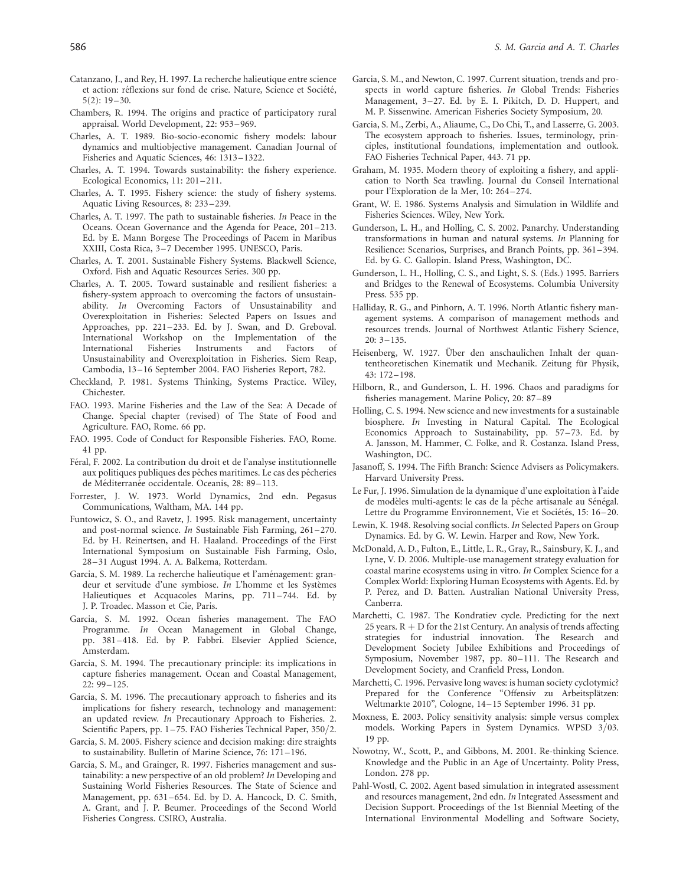- Catanzano, J., and Rey, H. 1997. La recherche halieutique entre science et action: réflexions sur fond de crise. Nature, Science et Société,  $5(2): 19-30.$
- Chambers, R. 1994. The origins and practice of participatory rural appraisal. World Development, 22: 953–969.
- Charles, A. T. 1989. Bio-socio-economic fishery models: labour dynamics and multiobjective management. Canadian Journal of Fisheries and Aquatic Sciences, 46: 1313–1322.
- Charles, A. T. 1994. Towards sustainability: the fishery experience. Ecological Economics, 11: 201–211.
- Charles, A. T. 1995. Fishery science: the study of fishery systems. Aquatic Living Resources, 8: 233–239.
- Charles, A. T. 1997. The path to sustainable fisheries. In Peace in the Oceans. Ocean Governance and the Agenda for Peace, 201–213. Ed. by E. Mann Borgese The Proceedings of Pacem in Maribus XXIII, Costa Rica, 3–7 December 1995. UNESCO, Paris.
- Charles, A. T. 2001. Sustainable Fishery Systems. Blackwell Science, Oxford. Fish and Aquatic Resources Series. 300 pp.
- Charles, A. T. 2005. Toward sustainable and resilient fisheries: a fishery-system approach to overcoming the factors of unsustainability. In Overcoming Factors of Unsustainability and Overexploitation in Fisheries: Selected Papers on Issues and Approaches, pp. 221–233. Ed. by J. Swan, and D. Greboval. International Workshop on the Implementation of the International Fisheries Instruments and Factors of Unsustainability and Overexploitation in Fisheries. Siem Reap, Cambodia, 13–16 September 2004. FAO Fisheries Report, 782.
- Checkland, P. 1981. Systems Thinking, Systems Practice. Wiley, Chichester.
- FAO. 1993. Marine Fisheries and the Law of the Sea: A Decade of Change. Special chapter (revised) of The State of Food and Agriculture. FAO, Rome. 66 pp.
- FAO. 1995. Code of Conduct for Responsible Fisheries. FAO, Rome. 41 pp.
- Féral, F. 2002. La contribution du droit et de l'analyse institutionnelle aux politiques publiques des pêches maritimes. Le cas des pêcheries de Méditerranée occidentale. Oceanis, 28: 89-113.
- Forrester, J. W. 1973. World Dynamics, 2nd edn. Pegasus Communications, Waltham, MA. 144 pp.
- Funtowicz, S. O., and Ravetz, J. 1995. Risk management, uncertainty and post-normal science. In Sustainable Fish Farming, 261–270. Ed. by H. Reinertsen, and H. Haaland. Proceedings of the First International Symposium on Sustainable Fish Farming, Oslo, 28–31 August 1994. A. A. Balkema, Rotterdam.
- Garcia, S. M. 1989. La recherche halieutique et l'aménagement: grandeur et servitude d'une symbiose. In L'homme et les Systèmes Halieutiques et Acquacoles Marins, pp. 711–744. Ed. by J. P. Troadec. Masson et Cie, Paris.
- Garcia, S. M. 1992. Ocean fisheries management. The FAO Programme. In Ocean Management in Global Change, pp. 381–418. Ed. by P. Fabbri. Elsevier Applied Science, Amsterdam.
- Garcia, S. M. 1994. The precautionary principle: its implications in capture fisheries management. Ocean and Coastal Management, 22: 99–125.
- Garcia, S. M. 1996. The precautionary approach to fisheries and its implications for fishery research, technology and management: an updated review. In Precautionary Approach to Fisheries. 2. Scientific Papers, pp. 1–75. FAO Fisheries Technical Paper, 350/2.
- Garcia, S. M. 2005. Fishery science and decision making: dire straights to sustainability. Bulletin of Marine Science, 76: 171–196.
- Garcia, S. M., and Grainger, R. 1997. Fisheries management and sustainability: a new perspective of an old problem? In Developing and Sustaining World Fisheries Resources. The State of Science and Management, pp. 631–654. Ed. by D. A. Hancock, D. C. Smith, A. Grant, and J. P. Beumer. Proceedings of the Second World Fisheries Congress. CSIRO, Australia.
- Garcia, S. M., and Newton, C. 1997. Current situation, trends and prospects in world capture fisheries. In Global Trends: Fisheries Management, 3–27. Ed. by E. I. Pikitch, D. D. Huppert, and M. P. Sissenwine. American Fisheries Society Symposium, 20.
- Garcia, S. M., Zerbi, A., Aliaume, C., Do Chi, T., and Lasserre, G. 2003. The ecosystem approach to fisheries. Issues, terminology, principles, institutional foundations, implementation and outlook. FAO Fisheries Technical Paper, 443. 71 pp.
- Graham, M. 1935. Modern theory of exploiting a fishery, and application to North Sea trawling. Journal du Conseil International pour l'Exploration de la Mer, 10: 264–274.
- Grant, W. E. 1986. Systems Analysis and Simulation in Wildlife and Fisheries Sciences. Wiley, New York.
- Gunderson, L. H., and Holling, C. S. 2002. Panarchy. Understanding transformations in human and natural systems. In Planning for Resilience: Scenarios, Surprises, and Branch Points, pp. 361–394. Ed. by G. C. Gallopin. Island Press, Washington, DC.
- Gunderson, L. H., Holling, C. S., and Light, S. S. (Eds.) 1995. Barriers and Bridges to the Renewal of Ecosystems. Columbia University Press. 535 pp.
- Halliday, R. G., and Pinhorn, A. T. 1996. North Atlantic fishery management systems. A comparison of management methods and resources trends. Journal of Northwest Atlantic Fishery Science,  $20: 3 - 135.$
- Heisenberg, W. 1927. Über den anschaulichen Inhalt der quantentheoretischen Kinematik und Mechanik. Zeitung für Physik, 43: 172–198.
- Hilborn, R., and Gunderson, L. H. 1996. Chaos and paradigms for fisheries management. Marine Policy, 20: 87–89
- Holling, C. S. 1994. New science and new investments for a sustainable biosphere. In Investing in Natural Capital. The Ecological Economics Approach to Sustainability, pp. 57–73. Ed. by A. Jansson, M. Hammer, C. Folke, and R. Costanza. Island Press, Washington, DC.
- Jasanoff, S. 1994. The Fifth Branch: Science Advisers as Policymakers. Harvard University Press.
- Le Fur, J. 1996. Simulation de la dynamique d'une exploitation à l'aide de modèles multi-agents: le cas de la pêche artisanale au Sénégal. Lettre du Programme Environnement, Vie et Sociétés, 15: 16–20.
- Lewin, K. 1948. Resolving social conflicts. In Selected Papers on Group Dynamics. Ed. by G. W. Lewin. Harper and Row, New York.
- McDonald, A. D., Fulton, E., Little, L. R., Gray, R., Sainsbury, K. J., and Lyne, V. D. 2006. Multiple-use management strategy evaluation for coastal marine ecosystems using in vitro. In Complex Science for a Complex World: Exploring Human Ecosystems with Agents. Ed. by P. Perez, and D. Batten. Australian National University Press, Canberra.
- Marchetti, C. 1987. The Kondratiev cycle. Predicting for the next 25 years.  $R + D$  for the 21st Century. An analysis of trends affecting strategies for industrial innovation. The Research and Development Society Jubilee Exhibitions and Proceedings of Symposium, November 1987, pp. 80–111. The Research and Development Society, and Cranfield Press, London.
- Marchetti, C. 1996. Pervasive long waves: is human society cyclotymic? Prepared for the Conference "Offensiv zu Arbeitsplätzen: Weltmarkte 2010", Cologne, 14–15 September 1996. 31 pp.
- Moxness, E. 2003. Policy sensitivity analysis: simple versus complex models. Working Papers in System Dynamics. WPSD 3/03. 19 pp.
- Nowotny, W., Scott, P., and Gibbons, M. 2001. Re-thinking Science. Knowledge and the Public in an Age of Uncertainty. Polity Press, London. 278 pp.
- Pahl-Wostl, C. 2002. Agent based simulation in integrated assessment and resources management, 2nd edn. In Integrated Assessment and Decision Support. Proceedings of the 1st Biennial Meeting of the International Environmental Modelling and Software Society,